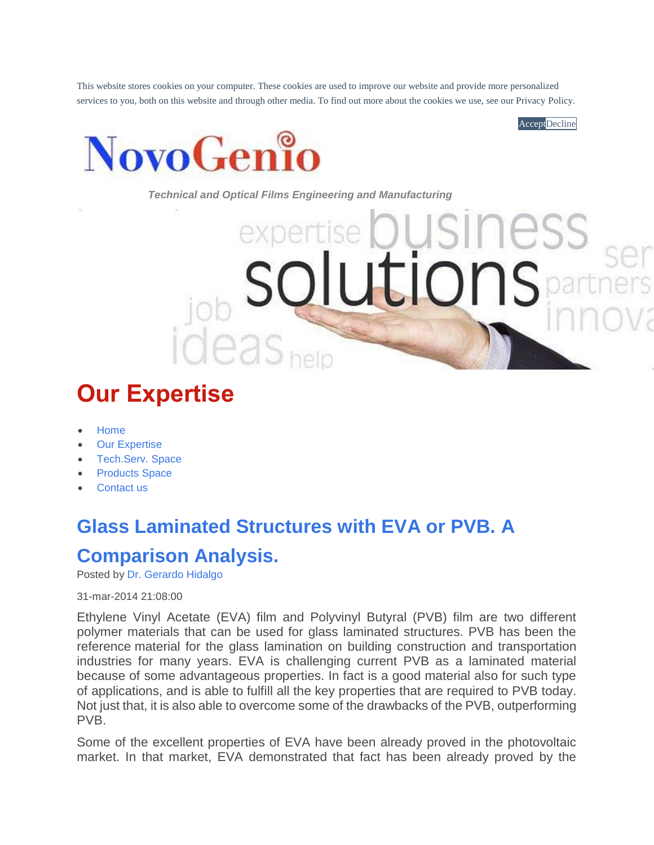This website stores cookies on your computer. These cookies are used to improve our website and provide more personalized services to you, both on this website and through other media. To find out more about the cookies we use, see our Privacy Policy.

**Accept**Decline



*Technical and Optical Films Engineering and Manufacturing*

# **Our Expertise**

- [Home](https://www.novogenio.com/)
- **[Our Expertise](https://www.novogenio.com/blogintro)**
- [Tech.Serv. Space](https://www.novogenio.com/techservspace)
- **[Products Space](https://www.novogenio.com/productspace)**
- [Contact us](https://www.novogenio.com/about-us/contact-us)

# **[Glass Laminated Structures with EVA or PVB. A](https://www.novogenio.com/blog/glass-laminated-structures-with-eva-or-pvb.-a-comparison-analysis)**

## **[Comparison Analysis.](https://www.novogenio.com/blog/glass-laminated-structures-with-eva-or-pvb.-a-comparison-analysis)**

Posted by [Dr. Gerardo Hidalgo](https://www.novogenio.com/blog/author/dr-gerardo-hidalgo)

31-mar-2014 21:08:00

Ethylene Vinyl Acetate (EVA) film and Polyvinyl Butyral (PVB) film are two different polymer materials that can be used for glass laminated structures. PVB has been the reference material for the glass lamination on building construction and transportation industries for many years. EVA is challenging current PVB as a laminated material because of some advantageous properties. In fact is a good material also for such type of applications, and is able to fulfill all the key properties that are required to PVB today. Not just that, it is also able to overcome some of the drawbacks of the PVB, outperforming PVB.

Some of the excellent properties of EVA have been already proved in the photovoltaic market. In that market, EVA demonstrated that fact has been already proved by the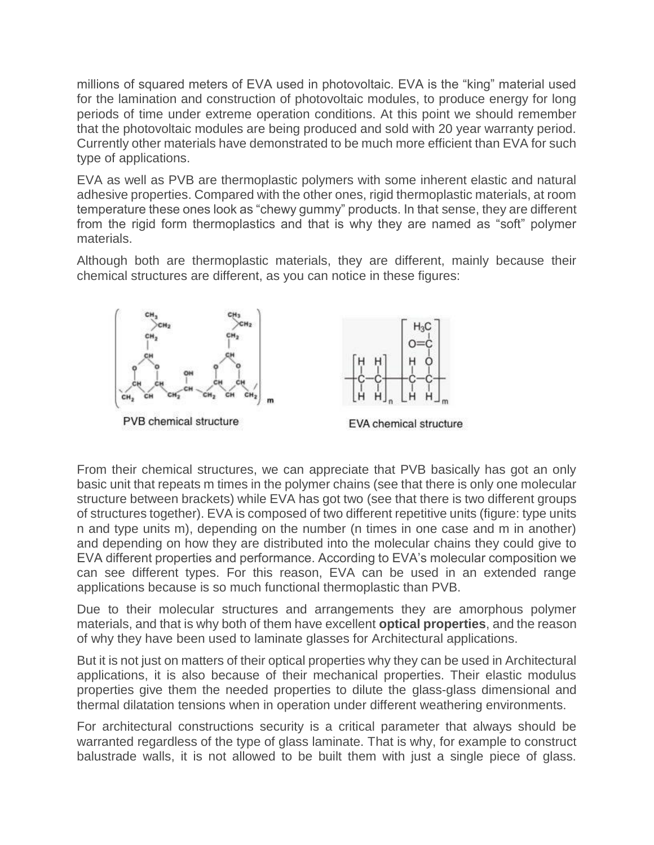millions of squared meters of EVA used in photovoltaic. EVA is the "king" material used for the lamination and construction of photovoltaic modules, to produce energy for long periods of time under extreme operation conditions. At this point we should remember that the photovoltaic modules are being produced and sold with 20 year warranty period. Currently other materials have demonstrated to be much more efficient than EVA for such type of applications.

EVA as well as PVB are thermoplastic polymers with some inherent elastic and natural adhesive properties. Compared with the other ones, rigid thermoplastic materials, at room temperature these ones look as "chewy gummy" products. In that sense, they are different from the rigid form thermoplastics and that is why they are named as "soft" polymer materials.

Although both are thermoplastic materials, they are different, mainly because their chemical structures are different, as you can notice in these figures:



From their chemical structures, we can appreciate that PVB basically has got an only basic unit that repeats m times in the polymer chains (see that there is only one molecular structure between brackets) while EVA has got two (see that there is two different groups of structures together). EVA is composed of two different repetitive units (figure: type units n and type units m), depending on the number (n times in one case and m in another) and depending on how they are distributed into the molecular chains they could give to EVA different properties and performance. According to EVA's molecular composition we can see different types. For this reason, EVA can be used in an extended range applications because is so much functional thermoplastic than PVB.

Due to their molecular structures and arrangements they are amorphous polymer materials, and that is why both of them have excellent **optical properties**, and the reason of why they have been used to laminate glasses for Architectural applications.

But it is not just on matters of their optical properties why they can be used in Architectural applications, it is also because of their mechanical properties. Their elastic modulus properties give them the needed properties to dilute the glass-glass dimensional and thermal dilatation tensions when in operation under different weathering environments.

For architectural constructions security is a critical parameter that always should be warranted regardless of the type of glass laminate. That is why, for example to construct balustrade walls, it is not allowed to be built them with just a single piece of glass.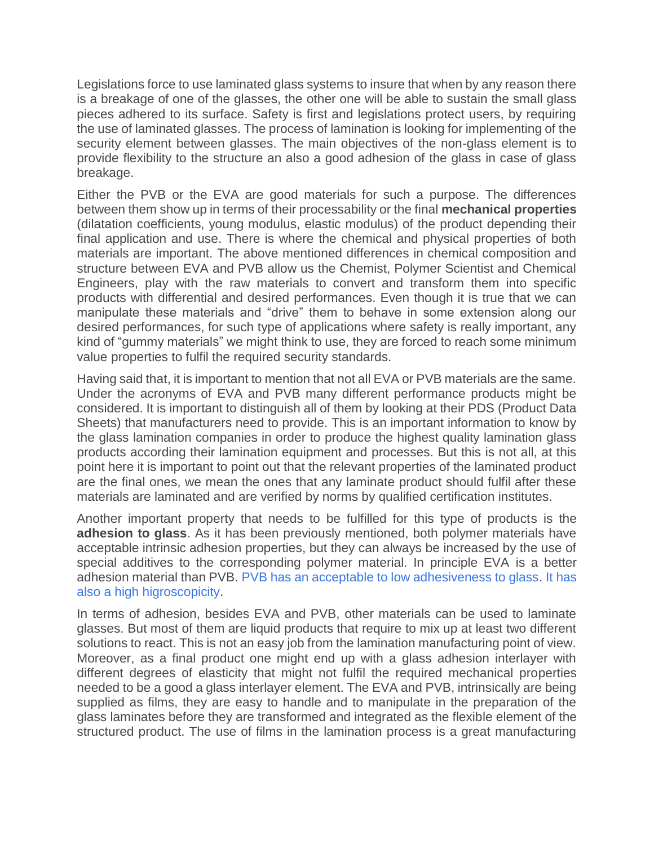Legislations force to use laminated glass systems to insure that when by any reason there is a breakage of one of the glasses, the other one will be able to sustain the small glass pieces adhered to its surface. Safety is first and legislations protect users, by requiring the use of laminated glasses. The process of lamination is looking for implementing of the security element between glasses. The main objectives of the non-glass element is to provide flexibility to the structure an also a good adhesion of the glass in case of glass breakage.

Either the PVB or the EVA are good materials for such a purpose. The differences between them show up in terms of their processability or the final **mechanical properties** (dilatation coefficients, young modulus, elastic modulus) of the product depending their final application and use. There is where the chemical and physical properties of both materials are important. The above mentioned differences in chemical composition and structure between EVA and PVB allow us the Chemist, Polymer Scientist and Chemical Engineers, play with the raw materials to convert and transform them into specific products with differential and desired performances. Even though it is true that we can manipulate these materials and "drive" them to behave in some extension along our desired performances, for such type of applications where safety is really important, any kind of "gummy materials" we might think to use, they are forced to reach some minimum value properties to fulfil the required security standards.

Having said that, it is important to mention that not all EVA or PVB materials are the same. Under the acronyms of EVA and PVB many different performance products might be considered. It is important to distinguish all of them by looking at their PDS (Product Data Sheets) that manufacturers need to provide. This is an important information to know by the glass lamination companies in order to produce the highest quality lamination glass products according their lamination equipment and processes. But this is not all, at this point here it is important to point out that the relevant properties of the laminated product are the final ones, we mean the ones that any laminate product should fulfil after these materials are laminated and are verified by norms by qualified certification institutes.

Another important property that needs to be fulfilled for this type of products is the **adhesion to glass**. As it has been previously mentioned, both polymer materials have acceptable intrinsic adhesion properties, but they can always be increased by the use of special additives to the corresponding polymer material. In principle EVA is a better adhesion material than PVB. [PVB has an acceptable to low adhesiveness to glass.](https://www.novogenio.com/blog/comparative-adhesivity-of-novoglass-sf-vs-pvb-to-glass) [It has](https://www.novogenio.com/blog/about-water-absorption-of-polymer-materials-like-pc-or-pvb)  [also a high higroscopicity.](https://www.novogenio.com/blog/about-water-absorption-of-polymer-materials-like-pc-or-pvb)

In terms of adhesion, besides EVA and PVB, other materials can be used to laminate glasses. But most of them are liquid products that require to mix up at least two different solutions to react. This is not an easy job from the lamination manufacturing point of view. Moreover, as a final product one might end up with a glass adhesion interlayer with different degrees of elasticity that might not fulfil the required mechanical properties needed to be a good a glass interlayer element. The EVA and PVB, intrinsically are being supplied as films, they are easy to handle and to manipulate in the preparation of the glass laminates before they are transformed and integrated as the flexible element of the structured product. The use of films in the lamination process is a great manufacturing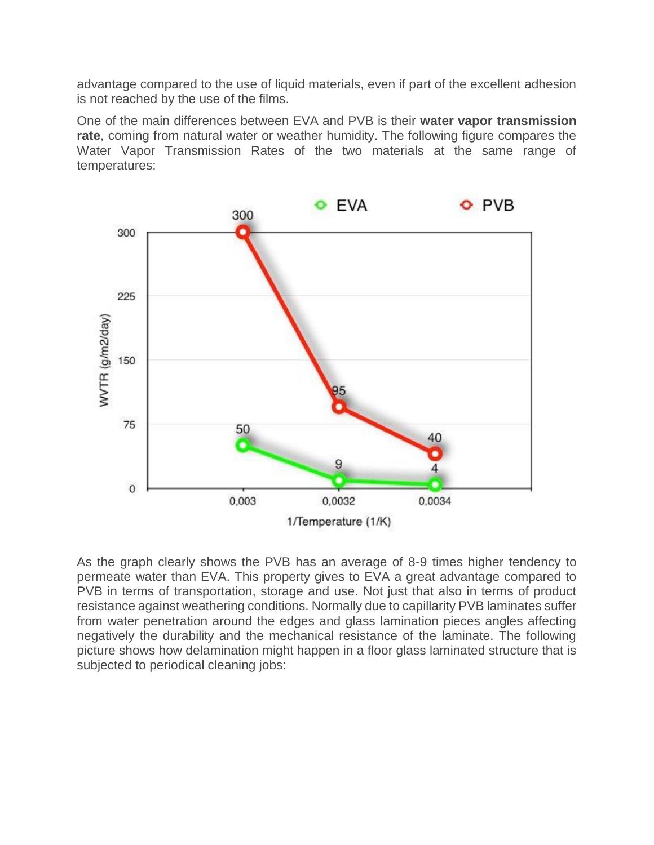advantage compared to the use of liquid materials, even if part of the excellent adhesion is not reached by the use of the films.

One of the main differences between EVA and PVB is their **water vapor transmission rate**, coming from natural water or weather humidity. The following figure compares the Water Vapor Transmission Rates of the two materials at the same range of temperatures:



As the graph clearly shows the PVB has an average of 8-9 times higher tendency to permeate water than EVA. This property gives to EVA a great advantage compared to PVB in terms of transportation, storage and use. Not just that also in terms of product resistance against weathering conditions. Normally due to capillarity PVB laminates suffer from water penetration around the edges and glass lamination pieces angles affecting negatively the durability and the mechanical resistance of the laminate. The following picture shows how delamination might happen in a floor glass laminated structure that is subjected to periodical cleaning jobs: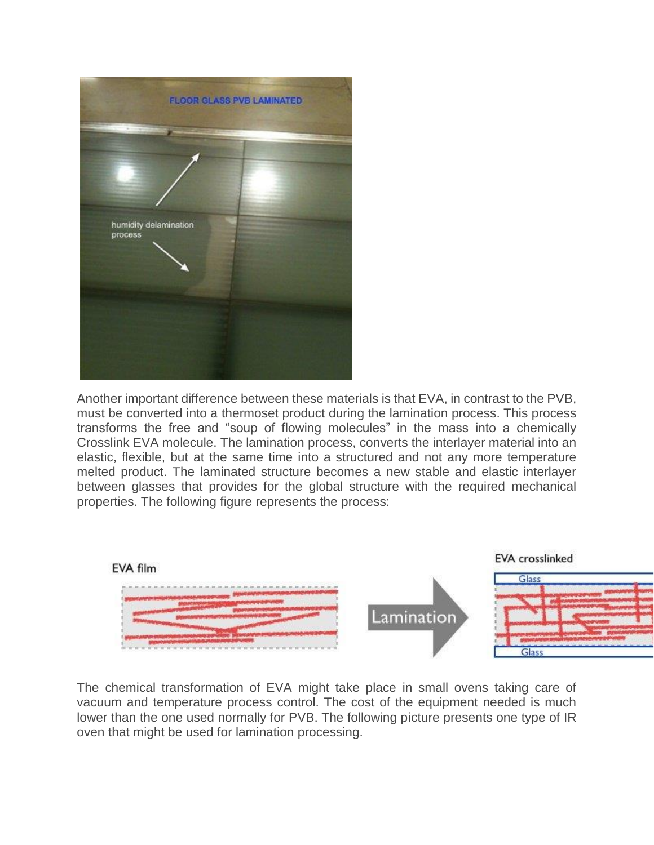

Another important difference between these materials is that EVA, in contrast to the PVB, must be converted into a thermoset product during the lamination process. This process transforms the free and "soup of flowing molecules" in the mass into a chemically Crosslink EVA molecule. The lamination process, converts the interlayer material into an elastic, flexible, but at the same time into a structured and not any more temperature melted product. The laminated structure becomes a new stable and elastic interlayer between glasses that provides for the global structure with the required mechanical properties. The following figure represents the process:



The chemical transformation of EVA might take place in small ovens taking care of vacuum and temperature process control. The cost of the equipment needed is much lower than the one used normally for PVB. The following picture presents one type of IR oven that might be used for lamination processing.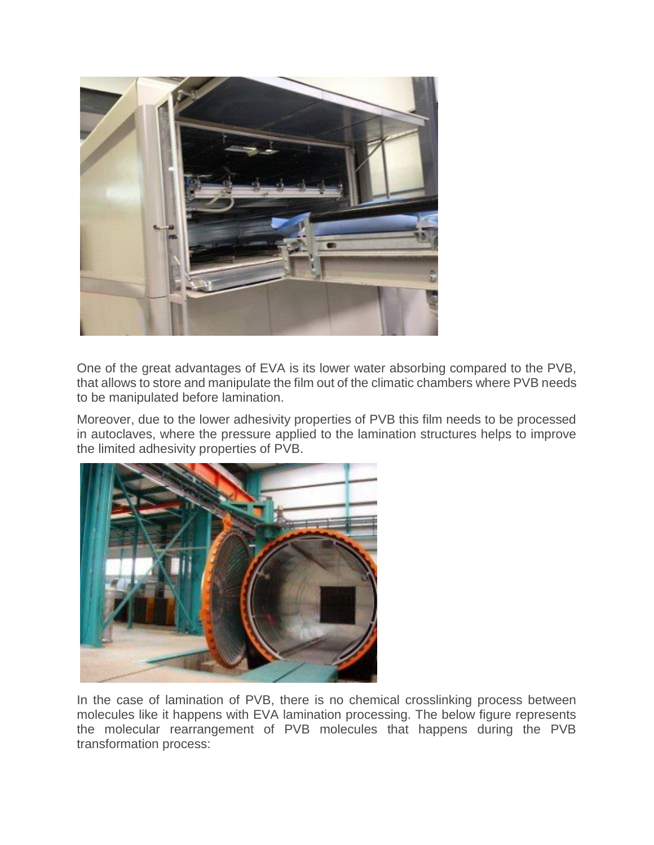

One of the great advantages of EVA is its lower water absorbing compared to the PVB, that allows to store and manipulate the film out of the climatic chambers where PVB needs to be manipulated before lamination.

Moreover, due to the lower adhesivity properties of PVB this film needs to be processed in autoclaves, where the pressure applied to the lamination structures helps to improve the limited adhesivity properties of PVB.



In the case of lamination of PVB, there is no chemical crosslinking process between molecules like it happens with EVA lamination processing. The below figure represents the molecular rearrangement of PVB molecules that happens during the PVB transformation process: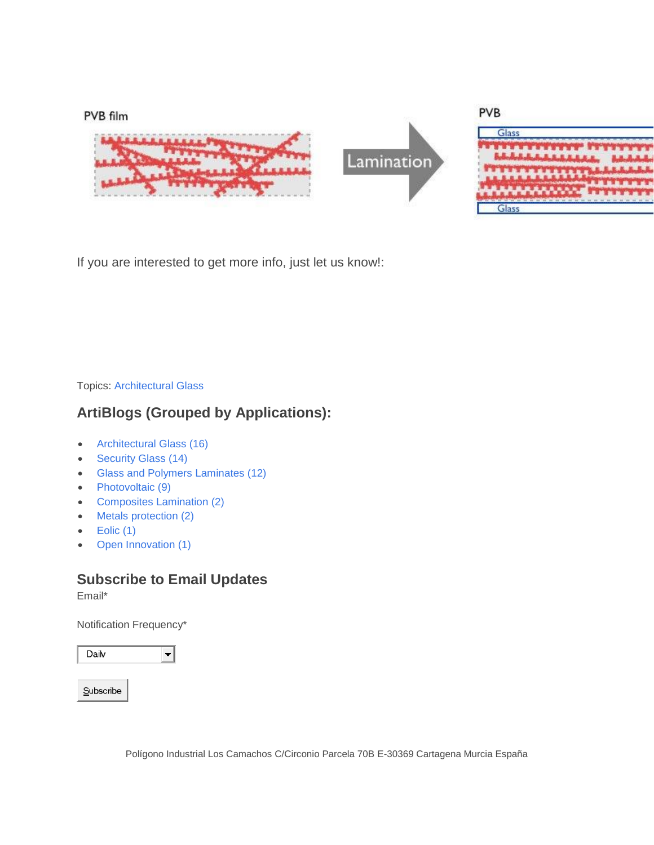

If you are interested to get more info, just let us know!:

Topics: [Architectural Glass](https://www.novogenio.com/blog/topic/architectural-glass)

### **ArtiBlogs (Grouped by Applications):**

- [Architectural Glass \(16\)](https://www.novogenio.com/blog/topic/architectural-glass)
- [Security Glass \(14\)](https://www.novogenio.com/blog/topic/security-glass)
- [Glass and Polymers Laminates \(12\)](https://www.novogenio.com/blog/topic/glass-and-polymers-laminates)
- [Photovoltaic \(9\)](https://www.novogenio.com/blog/topic/photovoltaic)
- [Composites Lamination \(2\)](https://www.novogenio.com/blog/topic/composites-lamination)
- [Metals protection \(2\)](https://www.novogenio.com/blog/topic/metals-protection)
- $\bullet$  [Eolic \(1\)](https://www.novogenio.com/blog/topic/eolic)
- [Open Innovation \(1\)](https://www.novogenio.com/blog/topic/open-innovation)

### **Subscribe to Email Updates**

Email\*

Notification Frequency\*

| Dailv     |  |
|-----------|--|
|           |  |
| Subscribe |  |

Polígono Industrial Los Camachos C/Circonio Parcela 70B E-30369 Cartagena Murcia España